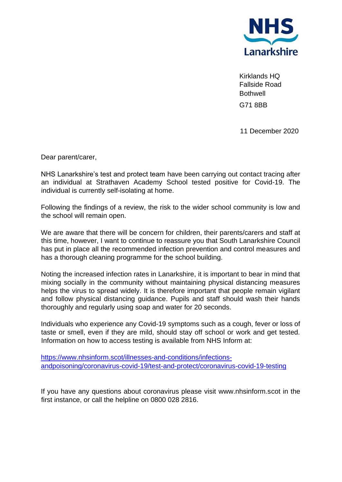

Kirklands HQ Fallside Road **Bothwell** G71 8BB

11 December 2020

Dear parent/carer,

NHS Lanarkshire's test and protect team have been carrying out contact tracing after an individual at Strathaven Academy School tested positive for Covid-19. The individual is currently self-isolating at home.

Following the findings of a review, the risk to the wider school community is low and the school will remain open.

We are aware that there will be concern for children, their parents/carers and staff at this time, however, I want to continue to reassure you that South Lanarkshire Council has put in place all the recommended infection prevention and control measures and has a thorough cleaning programme for the school building.

Noting the increased infection rates in Lanarkshire, it is important to bear in mind that mixing socially in the community without maintaining physical distancing measures helps the virus to spread widely. It is therefore important that people remain vigilant and follow physical distancing guidance. Pupils and staff should wash their hands thoroughly and regularly using soap and water for 20 seconds.

Individuals who experience any Covid-19 symptoms such as a cough, fever or loss of taste or smell, even if they are mild, should stay off school or work and get tested. Information on how to access testing is available from NHS Inform at:

[https://www.nhsinform.scot/illnesses-and-conditions/infections](https://www.nhsinform.scot/illnesses-and-conditions/infections-andpoisoning/coronavirus-covid-19/test-and-protect/coronavirus-covid-19-testing)[andpoisoning/coronavirus-covid-19/test-and-protect/coronavirus-covid-19-testing](https://www.nhsinform.scot/illnesses-and-conditions/infections-andpoisoning/coronavirus-covid-19/test-and-protect/coronavirus-covid-19-testing)

If you have any questions about coronavirus please visit www.nhsinform.scot in the first instance, or call the helpline on 0800 028 2816.